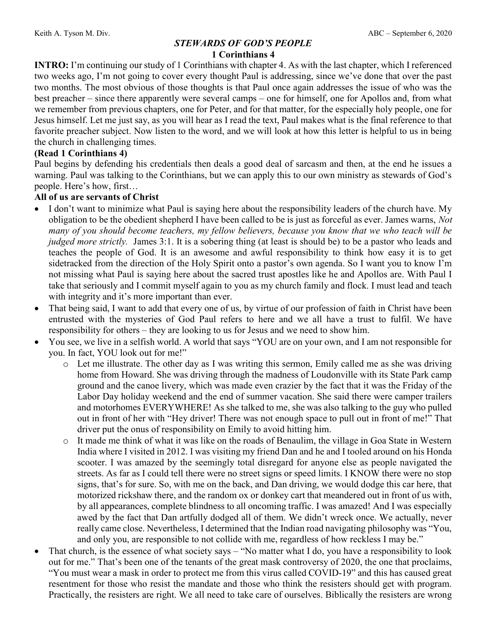#### STEWARDS OF GOD'S PEOPLE 1 Corinthians 4

INTRO: I'm continuing our study of 1 Corinthians with chapter 4. As with the last chapter, which I referenced two weeks ago, I'm not going to cover every thought Paul is addressing, since we've done that over the past two months. The most obvious of those thoughts is that Paul once again addresses the issue of who was the best preacher – since there apparently were several camps – one for himself, one for Apollos and, from what we remember from previous chapters, one for Peter, and for that matter, for the especially holy people, one for Jesus himself. Let me just say, as you will hear as I read the text, Paul makes what is the final reference to that favorite preacher subject. Now listen to the word, and we will look at how this letter is helpful to us in being the church in challenging times.

### (Read 1 Corinthians 4)

Paul begins by defending his credentials then deals a good deal of sarcasm and then, at the end he issues a warning. Paul was talking to the Corinthians, but we can apply this to our own ministry as stewards of God's people. Here's how, first…

### All of us are servants of Christ

- I don't want to minimize what Paul is saying here about the responsibility leaders of the church have. My obligation to be the obedient shepherd I have been called to be is just as forceful as ever. James warns, Not many of you should become teachers, my fellow believers, because you know that we who teach will be judged more strictly. James 3:1. It is a sobering thing (at least is should be) to be a pastor who leads and teaches the people of God. It is an awesome and awful responsibility to think how easy it is to get sidetracked from the direction of the Holy Spirit onto a pastor's own agenda. So I want you to know I'm not missing what Paul is saying here about the sacred trust apostles like he and Apollos are. With Paul I take that seriously and I commit myself again to you as my church family and flock. I must lead and teach with integrity and it's more important than ever.
- That being said, I want to add that every one of us, by virtue of our profession of faith in Christ have been entrusted with the mysteries of God Paul refers to here and we all have a trust to fulfil. We have responsibility for others – they are looking to us for Jesus and we need to show him.
- You see, we live in a selfish world. A world that says "YOU are on your own, and I am not responsible for you. In fact, YOU look out for me!"
	- o Let me illustrate. The other day as I was writing this sermon, Emily called me as she was driving home from Howard. She was driving through the madness of Loudonville with its State Park camp ground and the canoe livery, which was made even crazier by the fact that it was the Friday of the Labor Day holiday weekend and the end of summer vacation. She said there were camper trailers and motorhomes EVERYWHERE! As she talked to me, she was also talking to the guy who pulled out in front of her with "Hey driver! There was not enough space to pull out in front of me!" That driver put the onus of responsibility on Emily to avoid hitting him.
	- o It made me think of what it was like on the roads of Benaulim, the village in Goa State in Western India where I visited in 2012. I was visiting my friend Dan and he and I tooled around on his Honda scooter. I was amazed by the seemingly total disregard for anyone else as people navigated the streets. As far as I could tell there were no street signs or speed limits. I KNOW there were no stop signs, that's for sure. So, with me on the back, and Dan driving, we would dodge this car here, that motorized rickshaw there, and the random ox or donkey cart that meandered out in front of us with, by all appearances, complete blindness to all oncoming traffic. I was amazed! And I was especially awed by the fact that Dan artfully dodged all of them. We didn't wreck once. We actually, never really came close. Nevertheless, I determined that the Indian road navigating philosophy was "You, and only you, are responsible to not collide with me, regardless of how reckless I may be."
- That church, is the essence of what society says "No matter what I do, you have a responsibility to look out for me." That's been one of the tenants of the great mask controversy of 2020, the one that proclaims, "You must wear a mask in order to protect me from this virus called COVID-19" and this has caused great resentment for those who resist the mandate and those who think the resisters should get with program. Practically, the resisters are right. We all need to take care of ourselves. Biblically the resisters are wrong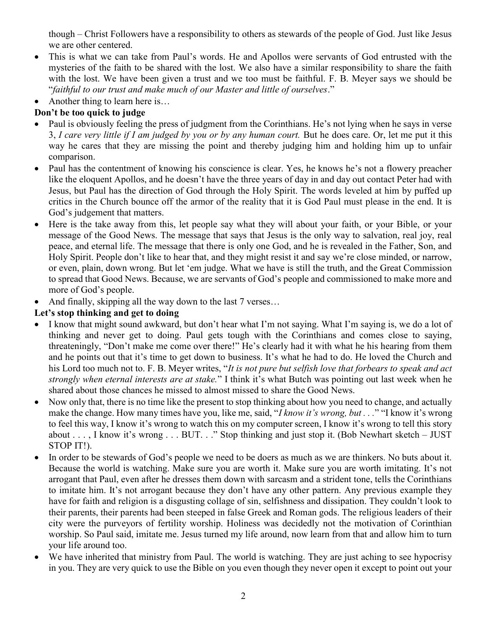though – Christ Followers have a responsibility to others as stewards of the people of God. Just like Jesus we are other centered.

- This is what we can take from Paul's words. He and Apollos were servants of God entrusted with the mysteries of the faith to be shared with the lost. We also have a similar responsibility to share the faith with the lost. We have been given a trust and we too must be faithful. F. B. Meyer says we should be "faithful to our trust and make much of our Master and little of ourselves."
- Another thing to learn here is...

# Don't be too quick to judge

- Paul is obviously feeling the press of judgment from the Corinthians. He's not lying when he says in verse 3, I care very little if I am judged by you or by any human court. But he does care. Or, let me put it this way he cares that they are missing the point and thereby judging him and holding him up to unfair comparison.
- Paul has the contentment of knowing his conscience is clear. Yes, he knows he's not a flowery preacher like the eloquent Apollos, and he doesn't have the three years of day in and day out contact Peter had with Jesus, but Paul has the direction of God through the Holy Spirit. The words leveled at him by puffed up critics in the Church bounce off the armor of the reality that it is God Paul must please in the end. It is God's judgement that matters.
- Here is the take away from this, let people say what they will about your faith, or your Bible, or your message of the Good News. The message that says that Jesus is the only way to salvation, real joy, real peace, and eternal life. The message that there is only one God, and he is revealed in the Father, Son, and Holy Spirit. People don't like to hear that, and they might resist it and say we're close minded, or narrow, or even, plain, down wrong. But let 'em judge. What we have is still the truth, and the Great Commission to spread that Good News. Because, we are servants of God's people and commissioned to make more and more of God's people.
- And finally, skipping all the way down to the last 7 verses…

## Let's stop thinking and get to doing

- I know that might sound awkward, but don't hear what I'm not saying. What I'm saying is, we do a lot of thinking and never get to doing. Paul gets tough with the Corinthians and comes close to saying, threateningly, "Don't make me come over there!" He's clearly had it with what he his hearing from them and he points out that it's time to get down to business. It's what he had to do. He loved the Church and his Lord too much not to. F. B. Meyer writes, "It is not pure but selfish love that forbears to speak and act strongly when eternal interests are at stake." I think it's what Butch was pointing out last week when he shared about those chances he missed to almost missed to share the Good News.
- Now only that, there is no time like the present to stop thinking about how you need to change, and actually make the change. How many times have you, like me, said, "I know it's wrong, but . . ." "I know it's wrong to feel this way, I know it's wrong to watch this on my computer screen, I know it's wrong to tell this story about . . . , I know it's wrong . . . BUT. . ." Stop thinking and just stop it. (Bob Newhart sketch – JUST STOP IT!).
- In order to be stewards of God's people we need to be doers as much as we are thinkers. No buts about it. Because the world is watching. Make sure you are worth it. Make sure you are worth imitating. It's not arrogant that Paul, even after he dresses them down with sarcasm and a strident tone, tells the Corinthians to imitate him. It's not arrogant because they don't have any other pattern. Any previous example they have for faith and religion is a disgusting collage of sin, selfishness and dissipation. They couldn't look to their parents, their parents had been steeped in false Greek and Roman gods. The religious leaders of their city were the purveyors of fertility worship. Holiness was decidedly not the motivation of Corinthian worship. So Paul said, imitate me. Jesus turned my life around, now learn from that and allow him to turn your life around too.
- We have inherited that ministry from Paul. The world is watching. They are just aching to see hypocrisy in you. They are very quick to use the Bible on you even though they never open it except to point out your